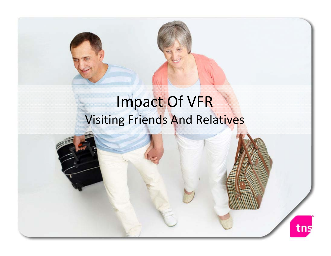# Impact Of VFR Visiting Friends And Relatives

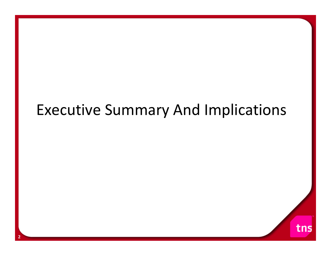# Executive Summary And Implications

tns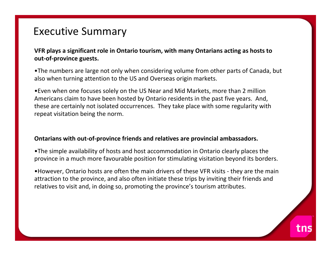**VFR plays <sup>a</sup> significant role in Ontario tourism, with many Ontarians acting as hosts to out‐of‐province guests.**

•The numbers are large not only when considering volume from other parts of Canada, but also when turning attention to the US and Overseas origin markets.

•Even when one focuses solely on the US Near and Mid Markets, more than 2 million Americans claim to have been hosted by Ontario residents in the past five years. And, these are certainly not isolated occurrences. They take place with some regularity with repeat visitation being the norm.

#### **Ontarians with out‐of‐province friends and relatives are provincial ambassadors.**

•The simple availability of hosts and host accommodation in Ontario clearly places the province in <sup>a</sup> much more favourable position for stimulating visitation beyond its borders.

•However, Ontario hosts are often the main drivers of these VFR visits ‐ they are the main attraction to the province, and also often initiate these trips by inviting their friends and relatives to visit and, in doing so, promoting the province's tourism attributes.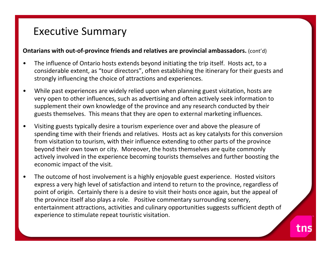#### **Ontarians with out‐of‐province friends and relatives are provincial ambassadors.** (cont'd)

- $\bullet$  The influence of Ontario hosts extends beyond initiating the trip itself. Hosts act, to <sup>a</sup> considerable extent, as "tour directors", often establishing the itinerary for their guests and strongly influencing the choice of attractions and experiences.
- • While past experiences are widely relied upon when planning guest visitation, hosts are very open to other influences, such as advertising and often actively seek information to supplement their own knowledge of the province and any research conducted by their guests themselves. This means that they are open to external marketing influences.
- • Visiting guests typically desire <sup>a</sup> tourism experience over and above the pleasure of spending time with their friends and relatives. Hosts act as key catalysts for this conversion from visitation to tourism, with their influence extending to other parts of the province beyond their own town or city. Moreover, the hosts themselves are quite commonly actively involved in the experience becoming tourists themselves and further boosting the economic impact of the visit.
- • The outcome of host involvement is <sup>a</sup> highly enjoyable guest experience. Hosted visitors express <sup>a</sup> very high level of satisfaction and intend to return to the province, regardless of point of origin. Certainly there is <sup>a</sup> desire to visit their hosts once again, but the appeal of the province itself also plays <sup>a</sup> role. Positive commentary surrounding scenery, entertainment attractions, activities and culinary opportunities suggests sufficient depth of experience to stimulate repeat touristic visitation.

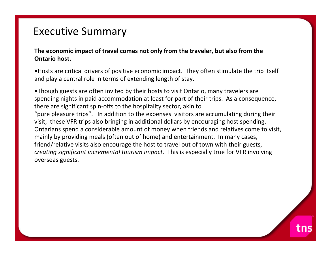**The economic impact of travel comes not only from the traveler, but also from the Ontario host.**

•Hosts are critical drivers of positive economic impact. They often stimulate the trip itself and play <sup>a</sup> central role in terms of extending length of stay.

•Though guests are often invited by their hosts to visit Ontario, many travelers are spending nights in paid accommodation at least for part of their trips. As <sup>a</sup> consequence, there are significant spin‐offs to the hospitality sector, akin to "pure pleasure trips". In addition to the expenses visitors are accumulating during their visit, these VFR trips also bringing in additional dollars by encouraging host spending. Ontarians spend <sup>a</sup> considerable amount of money when friends and relatives come to visit, mainly by providing meals (often out of home) and entertainment. In many cases, friend/relative visits also encourage the host to travel out of town with their guests, *creating significant incremental tourism impact.* This is especially true for VFR involving overseas guests.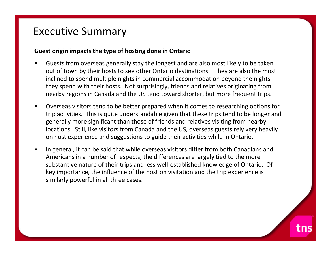#### **Guest origin impacts the type of hosting done in Ontario**

- • Guests from overseas generally stay the longest and are also most likely to be taken out of town by their hosts to see other Ontario destinations. They are also the most inclined to spend multiple nights in commercial accommodation beyond the nights they spend with their hosts. Not surprisingly, friends and relatives originating from nearby regions in Canada and the US tend toward shorter, but more frequent trips.
- • Overseas visitors tend to be better prepared when it comes to researching options for trip activities. This is quite understandable given that these trips tend to be longer and generally more significant than those of friends and relatives visiting from nearby locations. Still, like visitors from Canada and the US, overseas guests rely very heavily on host experience and suggestions to guide their activities while in Ontario.
- • In general, it can be said that while overseas visitors differ from both Canadians and Americans in <sup>a</sup> number of respects, the differences are largely tied to the more substantive nature of their trips and less well‐established knowledge of Ontario. Of key importance, the influence of the host on visitation and the trip experience is similarly powerful in all three cases.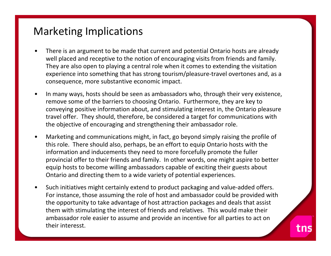#### Marketing Implications

- • There is an argument to be made that current and potential Ontario hosts are already well placed and receptive to the notion of encouraging visits from friends and family. They are also open to playing <sup>a</sup> central role when it comes to extending the visitation experience into something that has strong tourism/pleasure‐travel overtones and, as <sup>a</sup> consequence, more substantive economic impact.
- • In many ways, hosts should be seen as ambassadors who, through their very existence, remove some of the barriers to choosing Ontario. Furthermore, they are key to conveying positive information about, and stimulating interest in, the Ontario pleasure travel offer. They should, therefore, be considered <sup>a</sup> target for communications with the objective of encouraging and strengthening their ambassador role.
- • Marketing and communications might, in fact, go beyond simply raising the profile of this role. There should also, perhaps, be an effort to equip Ontario hosts with the information and inducements they need to more forcefully promote the fuller provincial offer to their friends and family. In other words, one might aspire to better equip hosts to become willing ambassadors capable of exciting their guests about Ontario and directing them to <sup>a</sup> wide variety of potential experiences.
- • Such initiatives might certainly extend to product packaging and value‐added offers. For instance, those assuming the role of host and ambassador could be provided with the opportunity to take advantage of host attraction packages and deals that assist them with stimulating the interest of friends and relatives. This would make their ambassador role easier to assume and provide an incentive for all parties to act on their interesst.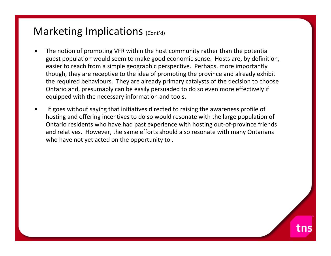#### Marketing Implications (Cont'd)

- • The notion of promoting VFR within the host community rather than the potential guest population would seem to make good economic sense. Hosts are, by definition, easier to reach from <sup>a</sup> simple geographic perspective. Perhaps, more importantly though, they are receptive to the idea of promoting the province and already exhibit the required behaviours. They are already primary catalysts of the decision to choose Ontario and, presumably can be easily persuaded to do so even more effectively if equipped with the necessary information and tools.
- • It goes without saying that initiatives directed to raising the awareness profile of hosting and offering incentives to do so would resonate with the large population of Ontario residents who have had past experience with hosting out‐of‐province friends and relatives. However, the same efforts should also resonate with many Ontarians who have not yet acted on the opportunity to .

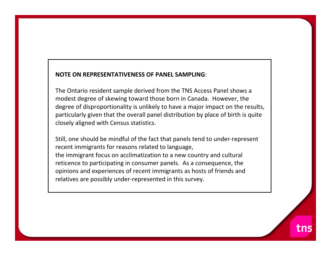#### **NOTE ON REPRESENTATIVENESS OF PANEL SAMPLING**:

The Ontario resident sample derived from the TNS Access Panel shows <sup>a</sup> modest degree of skewing toward those born in Canada. However, the degree of disproportionality is unlikely to have <sup>a</sup> major impact on the results, particularly given that the overall panel distribution by place of birth is quite closely aligned with Census statistics.

Still, one should be mindful of the fact that panels tend to under‐represent recent immigrants for reasons related to language, the immigrant focus on acclimatization to <sup>a</sup> new country and cultural reticence to participating in consumer panels. As <sup>a</sup> consequence, the opinions and experiences of recent immigrants as hosts of friends and relatives are possibly under‐represented in this survey.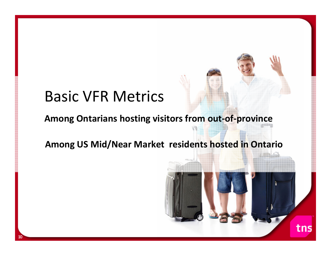## Basic VFR Metrics

#### **Among Ontarians hosting visitors from out‐of‐province**

#### **Among US Mid/Near Market residents hosted in Ontario**

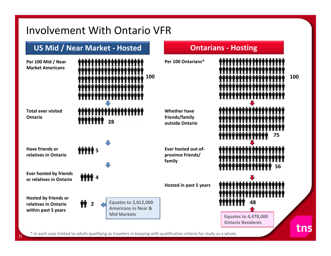#### Involvement With Ontario VFR

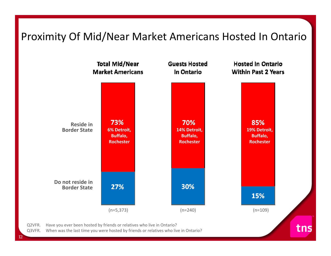#### Proximity Of Mid/Near Market Americans Hosted In Ontario

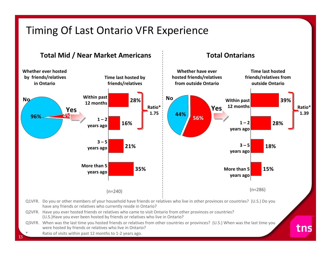#### Timing Of Last Ontario VFR Experience

#### **Total Mid / Near Market Americans**

#### **Total Ontarians**

tns



Q3VFR. When was the last time you hosted friends or relatives from other countries or provinces? (U.S.) When was the last time you were hosted by friends or relatives who live in Ontario?

Ratio of visits within past 12 months to 1‐2 years ago.

\*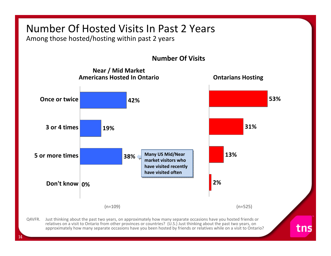## Number Of Hosted Visits In Past 2 Years

Among those hosted/hosting within past 2 years

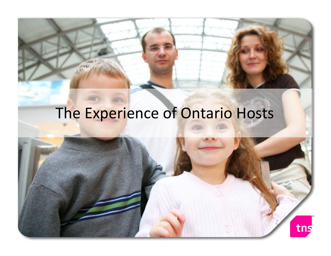## The Experience of Ontario Hosts

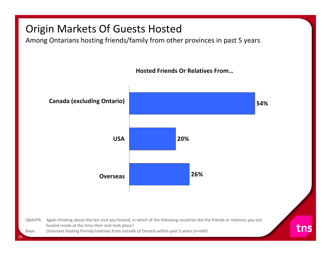#### Origin Markets Of Guests Hosted

16

Among Ontarians hosting friends/family from other provinces in past 5 years

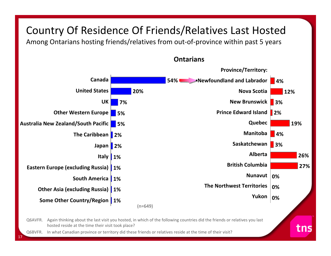### Country Of Residence Of Friends/Relatives Last Hosted

Among Ontarians hosting friends/relatives from out‐of‐province within past 5 years



17

**Ontarians**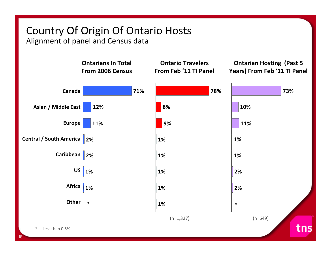## Country Of Origin Of Ontario Hosts

Alignment of panel and Census data

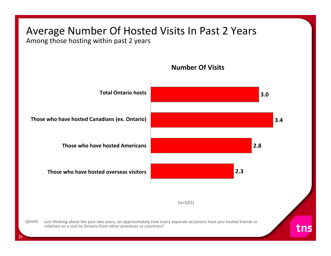## Average Number Of Hosted Visits In Past 2 Years

Among those hosting within past 2 years



**Number Of Visits**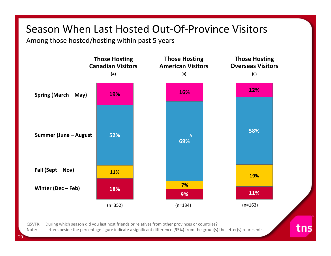#### Season When Last Hosted Out‐Of‐Province Visitors

Among those hosted/hosting within past 5 years



Q5VFR. During which season did you last host friends or relatives from other provinces or countries?

Note:Letters beside the percentage figure indicate <sup>a</sup> significant difference (95%) from the group(s) the letter(s) represents. tns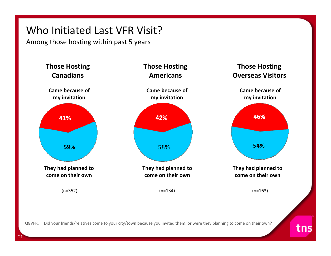### Who Initiated Last VFR Visit?

Among those hosting within past 5 years

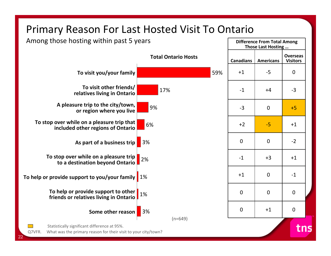### Primary Reason For Last Hosted Visit To Ontario

Among those hosting within past 5 years

22



**Difference From Total Among**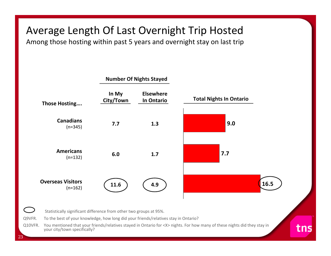## Average Length Of Last Overnight Trip Hosted

Among those hosting within past 5 years and overnight stay on last trip

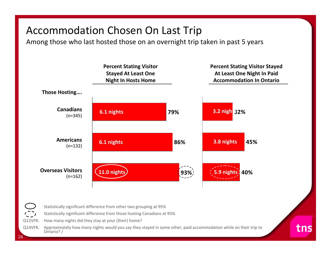#### Accommodation Chosen On Last Trip

Among those who last hosted those on an overnight trip taken in past 5 years



tns

Q12VFR. How many nights did they stay at your (their) home?

24

Q14VFR. Approximately how many nights would you say they stayed in some other, paid accommodation while on their trip to Ontario? /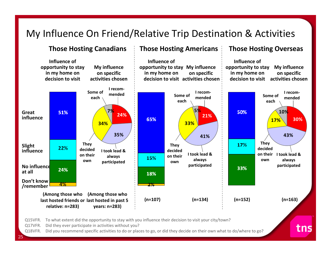#### My Influence On Friend/Relative Trip Destination & Activities

**Those Hosting Canadians Those Hosting Americans Those Hosting Overseas Influence of Influence of Influence of opportunity to stay My influence opportunity to stay My influence opportunity to stay My influence in my home on on specific in my home on on specific in my home on on specific decision to visit activities chosendecision to visit activities chosendecision to visit activities chosenI recom‐Some of I recom‐I recom‐mendedSome of Some of mendedmendedeacheacheach5%7%**50% **10%**51% **Great24%21%influence**65% **30% 17%34%33%35%43%41%They They** 17% **Slight They** 22% **decideddecidedinfluencedecidedI took lead &I took lead &on their I took lead &on their always on their** 15% **always ownalways ownownparticipated participated participated No influence** 33% 24% **at all** 18% **Don't know**4% **/remember (Among those who (Among those who (n=107) (n=134) (n=152) (n=163) last hosted friends or last hosted in past 5 relative: n=283) years: n=283)**

tns

Q15VFR. To what extent did the opportunity to stay with you influence their decision to visit your city/town?

Q17VFR. Did they ever participate in activities without you?

Q18VFR. Did you recommend specific activities to do or places to go, or did they decide on their own what to do/where to go?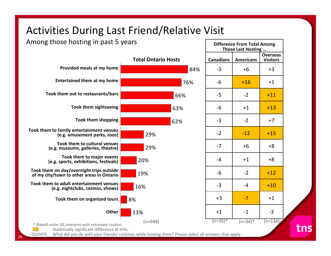#### Activities During Last Friend/Relative Visit

Among those hosting in past 5 years

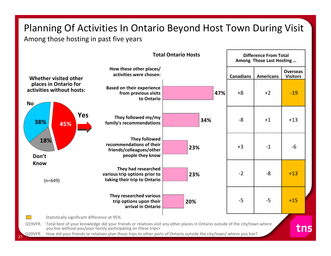## Planning Of Activities In Ontario Beyond Host Town During Visit

Among those hosting in past five years

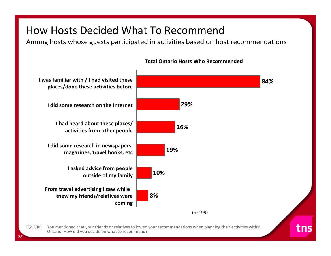#### How Hosts Decided What To Recommend

Among hosts whose guests participated in activities based on host recommendations



#### **Total Ontario Hosts Who Recommended**

Q21VRF. You mentioned that your friends or relatives followed your recommendations when planning their activities within Ontario. How did you decide on what to recommend?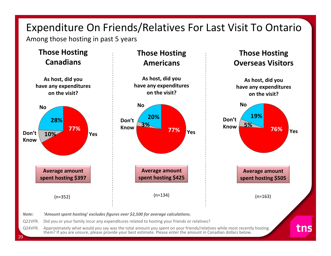## Expenditure On Friends/Relatives For Last Visit To Ontario

Among those hosting in past 5 years

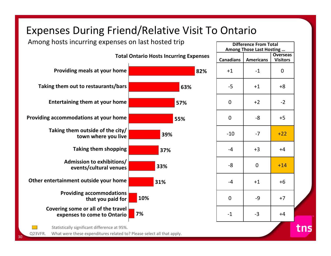### Expenses During Friend/Relative Visit To Ontario

Among hosts incurring expenses on last hosted trip



**Difference From Total Among Those Last Hosting … Canadians AmericansOverseasVisitors** ‐1 0  $-5$   $+1$   $+8$  ‐2  $-8$   $+5$  $-7$   $+22$  $-4$   $+3$   $+4$  +14  $-4$   $+1$   $+6$  ‐9 +7 $-3$   $+4$ 

tns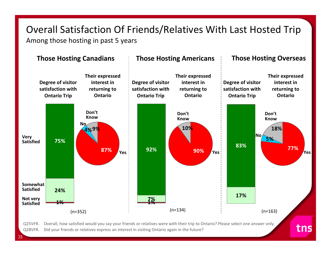# Overall Satisfaction Of Friends/Relatives With Last Hosted Trip

Among those hosting in past 5 years

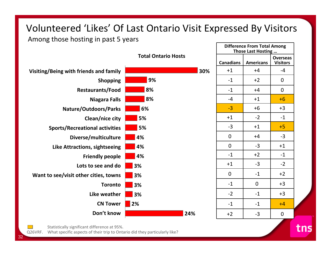#### Volunteered 'Likes' Of Last Ontario Visit Expressed By Visitors

Among those hosting in past 5 years



Statistically significant difference at 95%.

Q26VRF. What specific aspects of their trip to Ontario did they particularly like?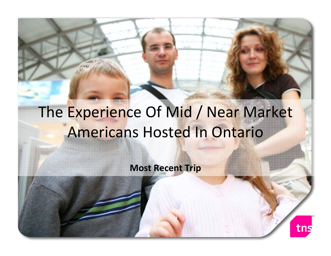# The Experience Of Mid / Near Market Americans Hosted In Ontario

**Most Recent Trip**

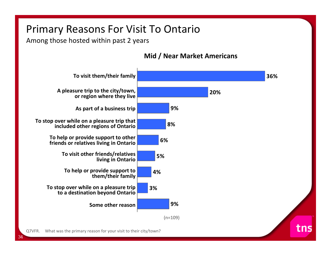### Primary Reasons For Visit To Ontario

Among those hosted within past 2 years



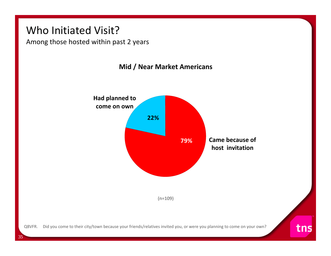#### Who Initiated Visit?

Among those hosted within past 2 years



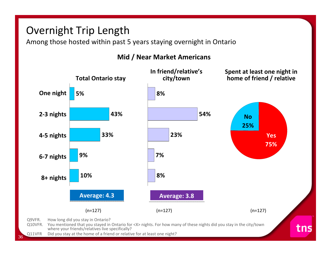### Overnight Trip Length

Among those hosted within past 5 years staying overnight in Ontario



#### **Mid / Near Market Americans**

36Q11VFR Did you stay at the home of <sup>a</sup> friend or relative for at least one night?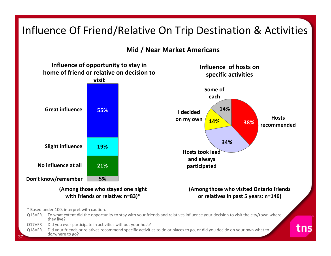### Influence Of Friend/Relative On Trip Destination & Activities

**Mid / Near Market Americans**

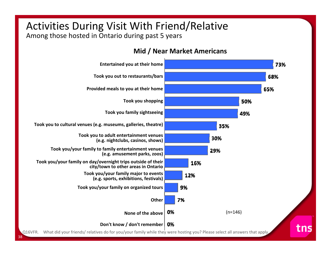## Activities During Visit With Friend/Relative

Among those hosted in Ontario during past 5 years

**Mid / Near Market Americans**

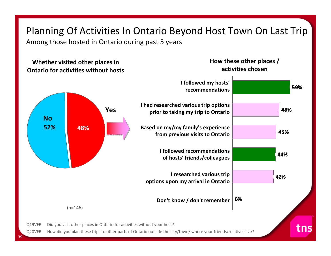## Planning Of Activities In Ontario Beyond Host Town On Last Trip

Among those hosted in Ontario during past 5 years

#### **How these other places / Whether visited other places in activities chosenOntario for activities without hosts I followed my hosts'** 59% **recommendationsI had researched various trip options Yes**48% **prior to taking my trip to Ontario No52% 48%Based on my/my family's experience** 45% **from previous visits to Ontario I followed recommendations** 44% **of hosts' friends/colleagues I researched various trip** 42% **options upon my arrival in Ontario**

**Don't know / don't remember**

0%

(n=146)

Q19VFR. Did you visit other places in Ontario for activities without your host?

Q20VFR. How did you plan these trips to other parts of Ontario outside the city/town/ where your friends/relatives live?

tns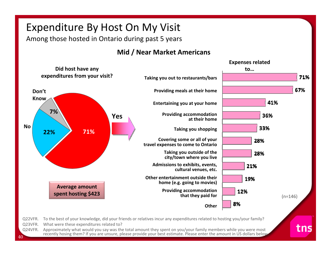## Expenditure By Host On My Visit

Among those hosted in Ontario during past 5 years

#### **Mid / Near Market Americans**

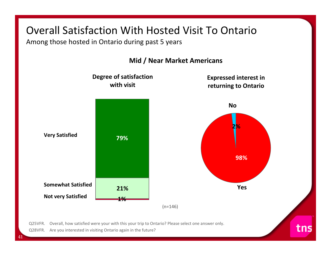#### Overall Satisfaction With Hosted Visit To Ontario

Among those hosted in Ontario during past 5 years



Q28VFR. Are you interested in visiting Ontario again in the future?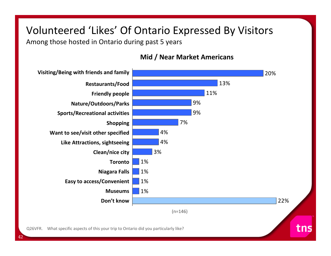### Volunteered 'Likes' Of Ontario Expressed By Visitors

Among those hosted in Ontario during past 5 years

42

#### **Mid / Near Market Americans**